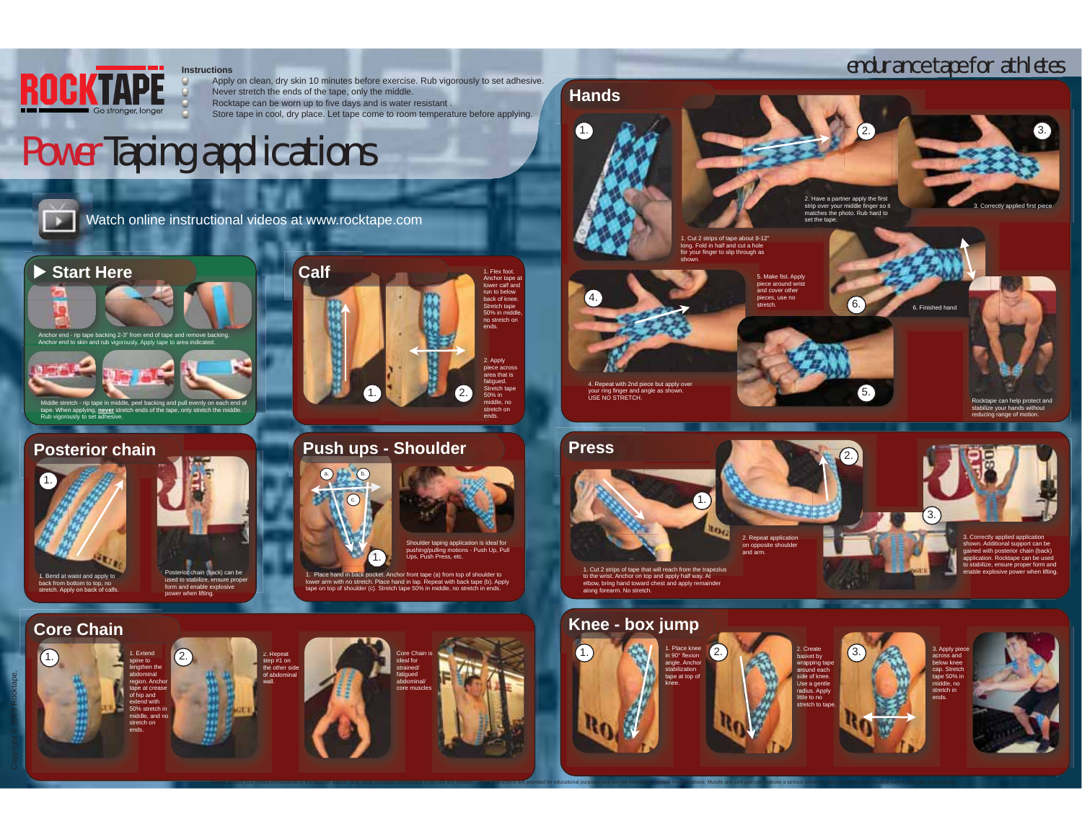